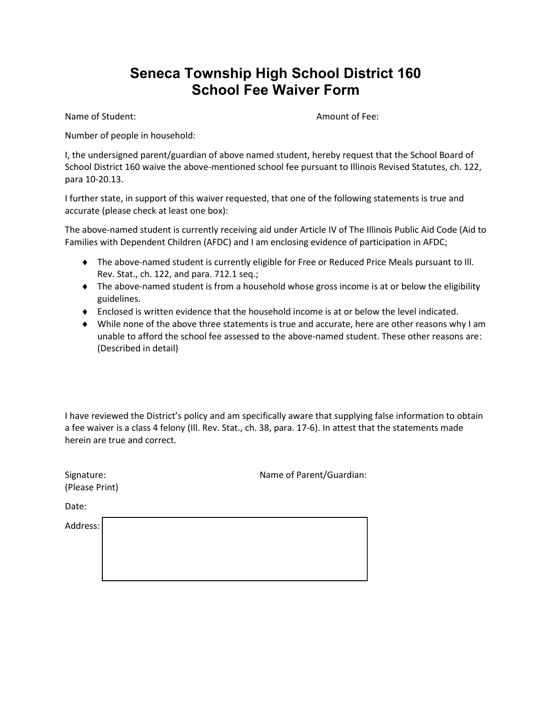## **Seneca Township High School District 160 School Fee Waiver Form**

Name of Student:  $\blacksquare$ 

Number of people in household:

I, the undersigned parent/guardian of above named student, hereby request that the School Board of School District 160 waive the above‐mentioned school fee pursuant to Illinois Revised Statutes, ch. 122, para 10‐20.13.

I further state, in support of this waiver requested, that one of the following statements is true and accurate (please check at least one box):

The above‐named student is currently receiving aid under Article IV of The Illinois Public Aid Code (Aid to Families with Dependent Children (AFDC) and I am enclosing evidence of participation in AFDC;

- The above‐named student is currently eligible for Free or Reduced Price Meals pursuant to Ill. Rev. Stat., ch. 122, and para. 712.1 seq.;
- ◆ The above-named student is from a household whose gross income is at or below the eligibility guidelines.
- Enclosed is written evidence that the household income is at or below the level indicated.
- While none of the above three statements is true and accurate, here are other reasons why I am unable to afford the school fee assessed to the above‐named student. These other reasons are: (Described in detail)

I have reviewed the District's policy and am specifically aware that supplying false information to obtain a fee waiver is a class 4 felony (Ill. Rev. Stat., ch. 38, para. 17‐6). In attest that the statements made herein are true and correct.

| Signature:<br>(Please Print) |  | Name of Parent/Guardian: |
|------------------------------|--|--------------------------|
| Date:                        |  |                          |
| Address:                     |  |                          |